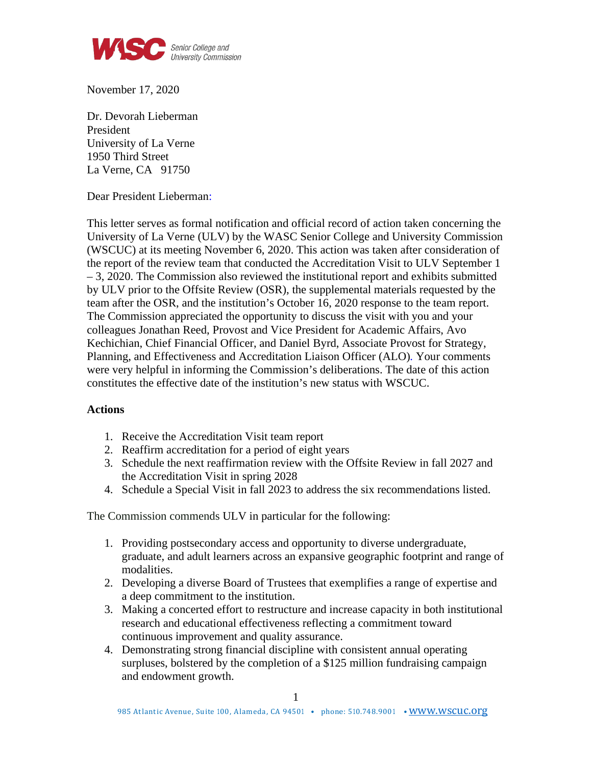

November 17, 2020

Dr. Devorah Lieberman President University of La Verne 1950 Third Street La Verne, CA 91750

Dear President Lieberman:

This letter serves as formal notification and official record of action taken concerning the University of La Verne (ULV) by the WASC Senior College and University Commission (WSCUC) at its meeting November 6, 2020. This action was taken after consideration of the report of the review team that conducted the Accreditation Visit to ULV September 1 – 3, 2020. The Commission also reviewed the institutional report and exhibits submitted by ULV prior to the Offsite Review (OSR), the supplemental materials requested by the team after the OSR, and the institution's October 16, 2020 response to the team report. The Commission appreciated the opportunity to discuss the visit with you and your colleagues Jonathan Reed, Provost and Vice President for Academic Affairs, Avo Kechichian, Chief Financial Officer, and Daniel Byrd, Associate Provost for Strategy, Planning, and Effectiveness and Accreditation Liaison Officer (ALO)*.* Your comments were very helpful in informing the Commission's deliberations. The date of this action constitutes the effective date of the institution's new status with WSCUC.

## **Actions**

- 1. Receive the Accreditation Visit team report
- 2. Reaffirm accreditation for a period of eight years
- 3. Schedule the next reaffirmation review with the Offsite Review in fall 2027 and the Accreditation Visit in spring 2028
- 4. Schedule a Special Visit in fall 2023 to address the six recommendations listed.

The Commission commends ULV in particular for the following:

- 1. Providing postsecondary access and opportunity to diverse undergraduate, graduate, and adult learners across an expansive geographic footprint and range of modalities.
- 2. Developing a diverse Board of Trustees that exemplifies a range of expertise and a deep commitment to the institution.
- 3. Making a concerted effort to restructure and increase capacity in both institutional research and educational effectiveness reflecting a commitment toward continuous improvement and quality assurance.
- 4. Demonstrating strong financial discipline with consistent annual operating surpluses, bolstered by the completion of a \$125 million fundraising campaign and endowment growth.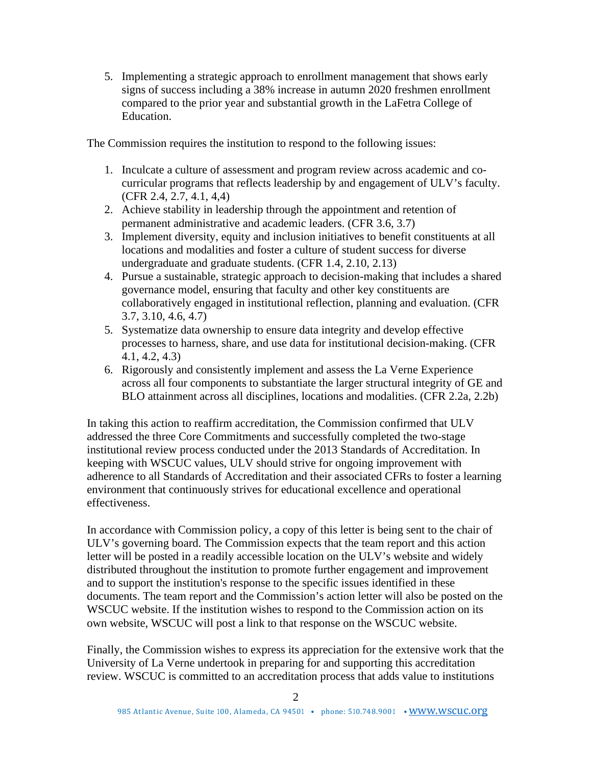5. Implementing a strategic approach to enrollment management that shows early signs of success including a 38% increase in autumn 2020 freshmen enrollment compared to the prior year and substantial growth in the LaFetra College of Education.

The Commission requires the institution to respond to the following issues:

- 1. Inculcate a culture of assessment and program review across academic and cocurricular programs that reflects leadership by and engagement of ULV's faculty. (CFR 2.4, 2.7, 4.1, 4,4)
- 2. Achieve stability in leadership through the appointment and retention of permanent administrative and academic leaders. (CFR 3.6, 3.7)
- 3. Implement diversity, equity and inclusion initiatives to benefit constituents at all locations and modalities and foster a culture of student success for diverse undergraduate and graduate students. (CFR 1.4, 2.10, 2.13)
- 4. Pursue a sustainable, strategic approach to decision-making that includes a shared governance model, ensuring that faculty and other key constituents are collaboratively engaged in institutional reflection, planning and evaluation. (CFR 3.7, 3.10, 4.6, 4.7)
- 5. Systematize data ownership to ensure data integrity and develop effective processes to harness, share, and use data for institutional decision-making. (CFR 4.1, 4.2, 4.3)
- 6. Rigorously and consistently implement and assess the La Verne Experience across all four components to substantiate the larger structural integrity of GE and BLO attainment across all disciplines, locations and modalities. (CFR 2.2a, 2.2b)

In taking this action to reaffirm accreditation, the Commission confirmed that ULV addressed the three Core Commitments and successfully completed the two-stage institutional review process conducted under the 2013 Standards of Accreditation. In keeping with WSCUC values, ULV should strive for ongoing improvement with adherence to all Standards of Accreditation and their associated CFRs to foster a learning environment that continuously strives for educational excellence and operational effectiveness.

In accordance with Commission policy, a copy of this letter is being sent to the chair of ULV's governing board. The Commission expects that the team report and this action letter will be posted in a readily accessible location on the ULV's website and widely distributed throughout the institution to promote further engagement and improvement and to support the institution's response to the specific issues identified in these documents. The team report and the Commission's action letter will also be posted on the WSCUC website. If the institution wishes to respond to the Commission action on its own website, WSCUC will post a link to that response on the WSCUC website.

Finally, the Commission wishes to express its appreciation for the extensive work that the University of La Verne undertook in preparing for and supporting this accreditation review. WSCUC is committed to an accreditation process that adds value to institutions